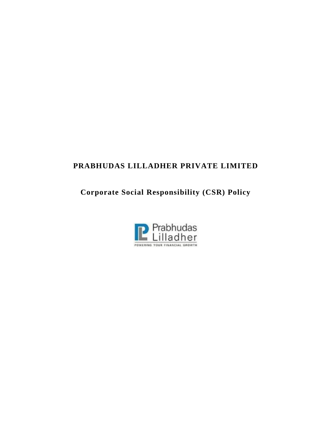# **PRABHUDAS LILLADHER PRIVATE LIMITED**

**Corporate Social Responsibility (CSR) Policy**

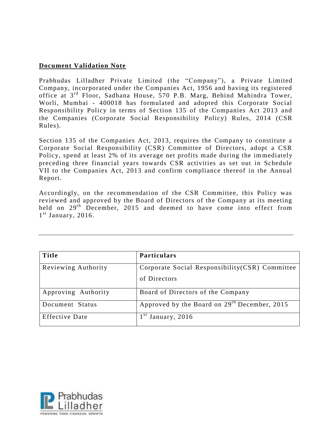#### **Document Validation Note**

Prabhudas Lilladher Private Limited (the "Company"), a Private Limited Company, incorporated under the Companies Act, 1956 and having its registered office at 3rd Floor, Sadhana House, 570 P.B. Marg, Behind Mahindra Tower, Worli, Mumbai - 400018 has formulated and adopted this Corporate Social Responsibility Policy in terms of Section 135 of the Companies Act 2013 and the Companies (Corporate Social Responsibility Policy) Rules, 2014 (CSR Rules).

Section 135 of the Companies Act, 2013, requires the Company to constitute a Corporate Social Responsibility (CSR) Committee of Directors, adopt a CSR Policy, spend at least 2% of its average net profits made during the im mediately preceding three financial years towards CSR activities as set out in Schedule VII to the Companies Act, 2013 and confirm compliance thereof in the Annual Report.

Accordingly, on the recommendation of the CSR Committee, this Policy was reviewed and approved by the Board of Directors of the Company at its meeting held on 29<sup>th</sup> December, 2015 and deemed to have come into effect from 1<sup>st</sup> January, 2016.

| <b>Title</b>          | <b>Particulars</b>                                              |
|-----------------------|-----------------------------------------------------------------|
| Reviewing Authority   | Corporate Social Responsibility (CSR) Committee<br>of Directors |
| Approving Authority   | Board of Directors of the Company                               |
| Document Status       | Approved by the Board on 29 <sup>th</sup> December, 2015        |
| <b>Effective Date</b> | January, 2016                                                   |

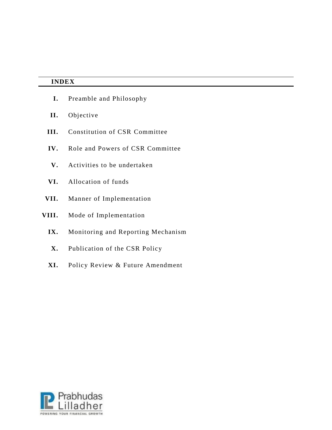|       | <b>INDEX</b>                       |  |
|-------|------------------------------------|--|
| I.    | Preamble and Philosophy            |  |
| II.   | Objective                          |  |
| III.  | Constitution of CSR Committee      |  |
| IV.   | Role and Powers of CSR Committee   |  |
| V.    | Activities to be undertaken        |  |
| VI.   | Allocation of funds                |  |
| VII.  | Manner of Implementation           |  |
| VIII. | Mode of Implementation             |  |
| IX.   | Monitoring and Reporting Mechanism |  |
| X.    | Publication of the CSR Policy      |  |
| XI.   | Policy Review & Future Amendment   |  |

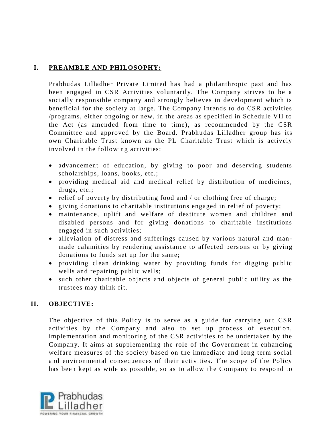# **I. PREAMBLE AND PHILOSOPHY:**

Prabhudas Lilladher Private Limited has had a philanthropic past and has been engaged in CSR Activities voluntarily. The Company strives to be a socially responsible company and strongly believes in development which is beneficial for the society at large. The Company intends to do CSR activities /programs, either ongoing or new, in the areas as specified in Schedule VII to the Act (as amended from time to time), as recommended by the CSR Committee and approved by the Board. Prabhu das Lilladher group has its own Charitable Trust known as the PL Charitable Trust which is actively involved in the following activities:

- advancement of education, by giving to poor and deserving students scholarships, loans, books, etc.;
- providing medical aid and medical relief by distribution of medicines, drugs, etc.;
- relief of poverty by distributing food and  $\ell$  or clothing free of charge;
- giving donations to charitable institutions engaged in relief of poverty;
- maintenance, uplift and welfare of destitute women and children and disabled persons and for giving donations to charitable institutions engaged in such activities;
- alleviation of distress and sufferings caused by various natural and manmade calamities by rendering assistance to affected persons or by giving donations to funds set up for the same;
- providing clean drinking water by providing funds for digging public wells and repairing public wells;
- such other charitable objects and objects of general public utility as the trustees may think fit.

## **II. OBJECTIVE:**

The objective of this Policy is to serve as a guide for carrying out CSR activities by the Company and also to set up process of execution, implementation and monitoring of the CSR activities to be undertaken by the Company. It aims at supplementing the role of the Government in enhancing welfare measures of the society based on the immediate and long term social and environmental consequences of their activities. The scope of the Policy has been kept as wide as possible, so as to allow the Company to respond to

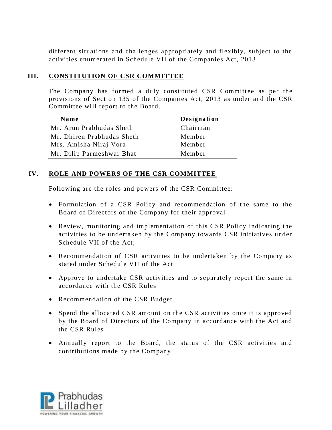different situations and challenges appropriately and flexibly, subject to the activities enumerated in Schedule VII of the Companies Act, 2013.

## **III. CONSTITUTION OF CSR COMMITTEE**

The Company has formed a duly constituted CSR Committee as per the provisions of Section 135 of the Companies Act, 2013 as under and the CSR Committee will report to the Board.

| Name                       | <b>Designation</b> |
|----------------------------|--------------------|
| Mr. Arun Prabhudas Sheth   | Chairman           |
| Mr. Dhiren Prabhudas Sheth | Member             |
| Mrs. Amisha Niraj Vora     | Member             |
| Mr. Dilip Parmeshwar Bhat  | Member             |

## **IV. ROLE AND POWERS OF THE CSR COMMITTEE**

Following are the roles and powers of the CSR Committee:

- Formulation of a CSR Policy and recommendation of the same to the Board of Directors of the Company for their approval
- Review, monitoring and implementation of this CSR Policy indicating the activities to be undertaken by the Company towards CSR initiatives under Schedule VII of the Act;
- Recommendation of CSR activities to be undertaken by the Company as stated under Schedule VII of the Act
- Approve to undertake CSR activities and to separately report the same in accordance with the CSR Rules
- Recommendation of the CSR Budget
- Spend the allocated CSR amount on the CSR activities once it is approved by the Board of Directors of the Company in accordance with the Act and the CSR Rules
- Annually report to the Board, the status of the CSR activities and contributions made by the Company

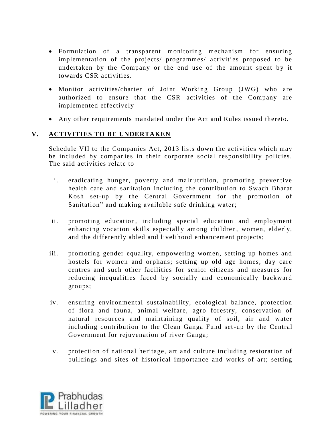- Formulation of a transparent monitoring mechanism for ensuring implementation of the projects/ programmes/ activities proposed to be undertaken by the Company or the end use of the amount spent by it towards CSR activities.
- Monitor activities/charter of Joint Working Group (JWG) who are authorized to ensure that the CSR activities of the Company are implemented effectively
- Any other requirements mandated under the Act and Rules issued thereto.

#### **V. ACTIVITIES TO BE UNDERTAKEN**

Schedule VII to the Companies Act, 2013 lists down the activities which may be included by companies in their corporate social responsibility policies. The said activities relate to –

- i. eradicating hunger, poverty and malnutrition, promoting preventive health care and sanitation including the contribution to Swach Bharat Kosh set-up by the Central Government for the promotion of Sanitation" and making available safe drinking water;
- ii. promoting education, including special education and employment enhancing vocation skills especially among children, women, elderly, and the differently abled and livelihood enhancement projects;
- iii. promoting gender equality, empowering women, setting up homes and hostels for women and orphans; setting up old age homes, day care centres and such other facilities for senior citizens and measures for reducing inequalities faced by socially and economically backward groups;
- iv. ensuring environmental sustainability, ecological balance, protection of flora and fauna, animal welfare, agro forestry, conservation of natural resources and maintaining quality of soil, air and water including contribution to the Clean Ganga Fund set-up by the Central Government for rejuvenation of river Ganga;
- v. protection of national heritage, art and culture including restoration of buildings and sites of historical importance and works of art; setting

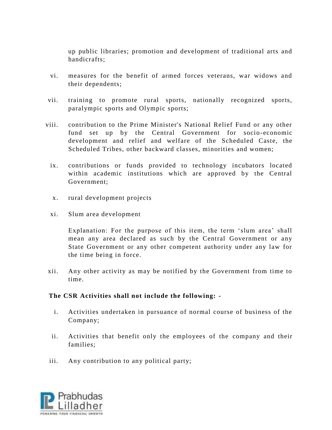up public libraries; promotion and development of traditional arts and handicrafts;

- vi. measures for the benefit of armed forces veterans, war widows and their dependents;
- vii. training to promote rural sports, nationally recognized sports, paralympic sports and Olympic sports;
- viii. contribution to the Prime Minister's National Relief Fund or any other fund set up by the Central Government for socio-economic development and relief and welfare of the Scheduled Caste, the Scheduled Tribes, other backward classes, minorities and women;
	- ix. contributions or funds provided to technology incubators located within academic institutions which are approved by the Central Government;
	- x. rural development projects
	- xi. Slum area development

Explanation: For the purpose of this item, the term 'slum area' shall mean any area declared as such by the Central Government or any State Government or any other competent authority under any law for the time being in force.

xii. Any other activity as may be notified by the Government from time to time.

#### **The CSR Activities shall not include the following: -**

- i. Activities undertaken in pursuance of normal course of business of the Company;
- ii. Activities that benefit only the employees of the company and their families;
- iii. Any contribution to any political party;

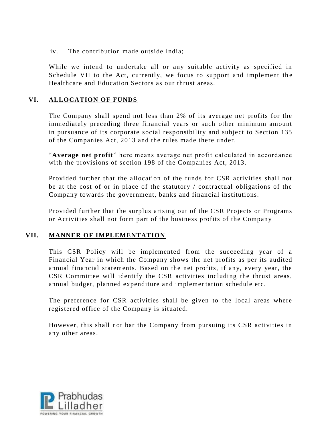iv. The contribution made outside India;

While we intend to undertake all or any suitable activity as specified in Schedule VII to the Act, currently, we focus to support and implement the Healthcare and Education Sectors as our thrust areas.

## **VI. ALLOCATION OF FUNDS**

The Company shall spend not less than 2% of its average net profits for the immediately preceding three financial years or such other minimum amount in pursuance of its corporate social responsibility and subject to Section 135 of the Companies Act, 2013 and the rules made there under.

"**Average net profit**" here means average net profit calculated in accordance with the provisions of section 198 of the Companies Act, 2013.

Provided further that the allocation of the funds for CSR activities shall not be at the cost of or in place of the statutory / contractual obligations of the Company towards the government, banks and financial institutions.

Provided further that the surplus arising out of the CSR Projects or Programs or Activities shall not form part of the business profits of the Company

## **VII. MANNER OF IMPLEMENTATION**

This CSR Policy will be implemented from the succeeding year of a Financial Year in which the Company shows the net profits as per its audited annual financial statements. Based on the net profits, if any, every year, the CSR Committee will identify the CSR activities including the thrust areas, annual budget, planned expenditure and implementation schedule etc.

The preference for CSR activities shall be given to the local areas where registered office of the Company is situated.

However, this shall not bar the Company from pursuing its CSR activities in any other areas.